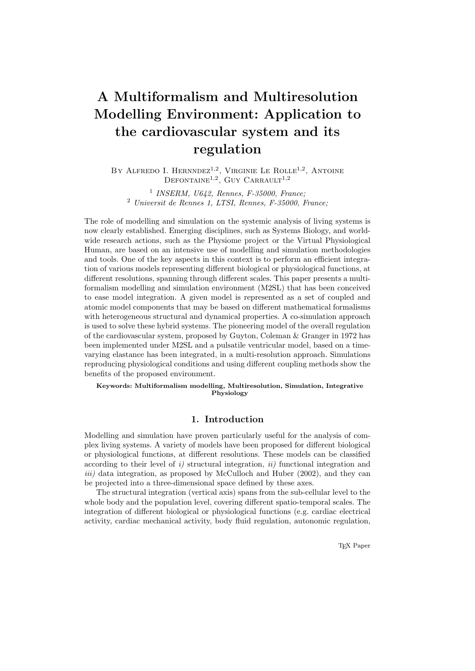# A Multiformalism and Multiresolution Modelling Environment: Application to the cardiovascular system and its regulation

BY ALFREDO I. HERNNDEZ<sup>1,2</sup>, VIRGINIE LE ROLLE<sup>1,2</sup>, ANTOINE  $DEFONTIME<sup>1,2</sup>, GUY CARRAULT<sup>1,2</sup>$ 

1 INSERM, U642, Rennes, F-35000, France; <sup>2</sup> Universit de Rennes 1, LTSI, Rennes, F-35000, France;

The role of modelling and simulation on the systemic analysis of living systems is now clearly established. Emerging disciplines, such as Systems Biology, and worldwide research actions, such as the Physiome project or the Virtual Physiological Human, are based on an intensive use of modelling and simulation methodologies and tools. One of the key aspects in this context is to perform an efficient integration of various models representing different biological or physiological functions, at different resolutions, spanning through different scales. This paper presents a multiformalism modelling and simulation environment (M2SL) that has been conceived to ease model integration. A given model is represented as a set of coupled and atomic model components that may be based on different mathematical formalisms with heterogeneous structural and dynamical properties. A co-simulation approach is used to solve these hybrid systems. The pioneering model of the overall regulation of the cardiovascular system, proposed by Guyton, Coleman & Granger in 1972 has been implemented under M2SL and a pulsatile ventricular model, based on a timevarying elastance has been integrated, in a multi-resolution approach. Simulations reproducing physiological conditions and using different coupling methods show the benefits of the proposed environment.

Keywords: Multiformalism modelling, Multiresolution, Simulation, Integrative Physiology

# 1. Introduction

Modelling and simulation have proven particularly useful for the analysis of complex living systems. A variety of models have been proposed for different biological or physiological functions, at different resolutions. These models can be classified according to their level of i) structural integration, ii) functional integration and iii) data integration, as proposed by McCulloch and Huber (2002), and they can be projected into a three-dimensional space defined by these axes.

The structural integration (vertical axis) spans from the sub-cellular level to the whole body and the population level, covering different spatio-temporal scales. The integration of different biological or physiological functions (e.g. cardiac electrical activity, cardiac mechanical activity, body fluid regulation, autonomic regulation,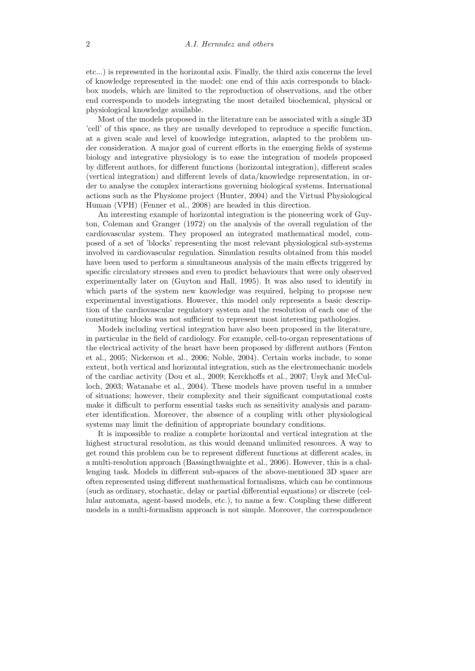etc...) is represented in the horizontal axis. Finally, the third axis concerns the level of knowledge represented in the model: one end of this axis corresponds to blackbox models, which are limited to the reproduction of observations, and the other end corresponds to models integrating the most detailed biochemical, physical or physiological knowledge available.

Most of the models proposed in the literature can be associated with a single 3D 'cell' of this space, as they are usually developed to reproduce a specific function, at a given scale and level of knowledge integration, adapted to the problem under consideration. A major goal of current efforts in the emerging fields of systems biology and integrative physiology is to ease the integration of models proposed by different authors, for different functions (horizontal integration), different scales (vertical integration) and different levels of data/knowledge representation, in order to analyse the complex interactions governing biological systems. International actions such as the Physiome project (Hunter, 2004) and the Virtual Physiological Human (VPH) (Fenner et al., 2008) are headed in this direction.

An interesting example of horizontal integration is the pioneering work of Guyton, Coleman and Granger (1972) on the analysis of the overall regulation of the cardiovascular system. They proposed an integrated mathematical model, composed of a set of 'blocks' representing the most relevant physiological sub-systems involved in cardiovascular regulation. Simulation results obtained from this model have been used to perform a simultaneous analysis of the main effects triggered by specific circulatory stresses and even to predict behaviours that were only observed experimentally later on (Guyton and Hall, 1995). It was also used to identify in which parts of the system new knowledge was required, helping to propose new experimental investigations. However, this model only represents a basic description of the cardiovascular regulatory system and the resolution of each one of the constituting blocks was not sufficient to represent most interesting pathologies.

Models including vertical integration have also been proposed in the literature, in particular in the field of cardiology. For example, cell-to-organ representations of the electrical activity of the heart have been proposed by different authors (Fenton et al., 2005; Nickerson et al., 2006; Noble, 2004). Certain works include, to some extent, both vertical and horizontal integration, such as the electromechanic models of the cardiac activity (Dou et al., 2009; Kerckhoffs et al., 2007; Usyk and McCulloch, 2003; Watanabe et al., 2004). These models have proven useful in a number of situations; however, their complexity and their significant computational costs make it difficult to perform essential tasks such as sensitivity analysis and parameter identification. Moreover, the absence of a coupling with other physiological systems may limit the definition of appropriate boundary conditions.

It is impossible to realize a complete horizontal and vertical integration at the highest structural resolution, as this would demand unlimited resources. A way to get round this problem can be to represent different functions at different scales, in a multi-resolution approach (Bassingthwaighte et al., 2006). However, this is a challenging task. Models in different sub-spaces of the above-mentioned 3D space are often represented using different mathematical formalisms, which can be continuous (such as ordinary, stochastic, delay or partial differential equations) or discrete (cellular automata, agent-based models, etc.), to name a few. Coupling these different models in a multi-formalism approach is not simple. Moreover, the correspondence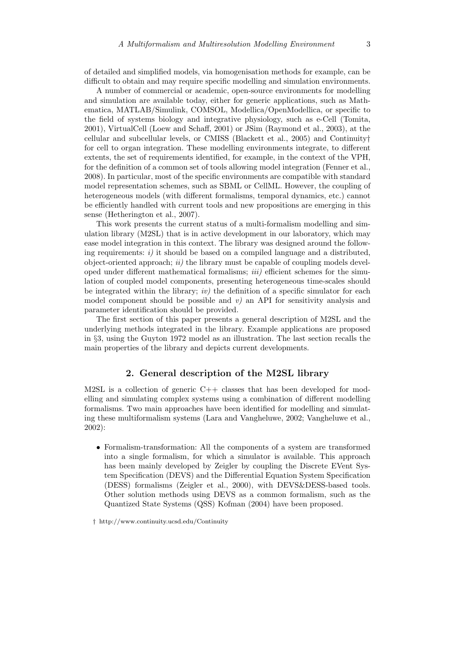of detailed and simplified models, via homogenisation methods for example, can be difficult to obtain and may require specific modelling and simulation environments.

A number of commercial or academic, open-source environments for modelling and simulation are available today, either for generic applications, such as Mathematica, MATLAB/Simulink, COMSOL, Modellica/OpenModellica, or specific to the field of systems biology and integrative physiology, such as e-Cell (Tomita, 2001), VirtualCell (Loew and Schaff, 2001) or JSim (Raymond et al., 2003), at the cellular and subcellular levels, or CMISS (Blackett et al., 2005) and Continuity† for cell to organ integration. These modelling environments integrate, to different extents, the set of requirements identified, for example, in the context of the VPH, for the definition of a common set of tools allowing model integration (Fenner et al., 2008). In particular, most of the specific environments are compatible with standard model representation schemes, such as SBML or CellML. However, the coupling of heterogeneous models (with different formalisms, temporal dynamics, etc.) cannot be efficiently handled with current tools and new propositions are emerging in this sense (Hetherington et al., 2007).

This work presents the current status of a multi-formalism modelling and simulation library (M2SL) that is in active development in our laboratory, which may ease model integration in this context. The library was designed around the following requirements:  $i)$  it should be based on a compiled language and a distributed. object-oriented approach;  $ii)$  the library must be capable of coupling models developed under different mathematical formalisms;  $iii)$  efficient schemes for the simulation of coupled model components, presenting heterogeneous time-scales should be integrated within the library;  $iv$ ) the definition of a specific simulator for each model component should be possible and  $v$ ) an API for sensitivity analysis and parameter identification should be provided.

The first section of this paper presents a general description of M2SL and the underlying methods integrated in the library. Example applications are proposed in §3, using the Guyton 1972 model as an illustration. The last section recalls the main properties of the library and depicts current developments.

## 2. General description of the M2SL library

M2SL is a collection of generic  $C_{++}$  classes that has been developed for modelling and simulating complex systems using a combination of different modelling formalisms. Two main approaches have been identified for modelling and simulating these multiformalism systems (Lara and Vangheluwe, 2002; Vangheluwe et al., 2002):

• Formalism-transformation: All the components of a system are transformed into a single formalism, for which a simulator is available. This approach has been mainly developed by Zeigler by coupling the Discrete EVent System Specification (DEVS) and the Differential Equation System Specification (DESS) formalisms (Zeigler et al., 2000), with DEVS&DESS-based tools. Other solution methods using DEVS as a common formalism, such as the Quantized State Systems (QSS) Kofman (2004) have been proposed.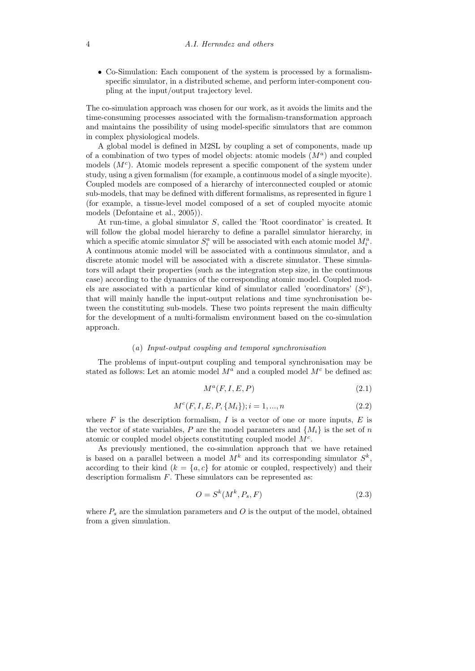• Co-Simulation: Each component of the system is processed by a formalismspecific simulator, in a distributed scheme, and perform inter-component coupling at the input/output trajectory level.

The co-simulation approach was chosen for our work, as it avoids the limits and the time-consuming processes associated with the formalism-transformation approach and maintains the possibility of using model-specific simulators that are common in complex physiological models.

A global model is defined in M2SL by coupling a set of components, made up of a combination of two types of model objects: atomic models  $(M<sup>a</sup>)$  and coupled models  $(M<sup>c</sup>)$ . Atomic models represent a specific component of the system under study, using a given formalism (for example, a continuous model of a single myocite). Coupled models are composed of a hierarchy of interconnected coupled or atomic sub-models, that may be defined with different formalisms, as represented in figure 1 (for example, a tissue-level model composed of a set of coupled myocite atomic models (Defontaine et al., 2005)).

At run-time, a global simulator S, called the 'Root coordinator' is created. It will follow the global model hierarchy to define a parallel simulator hierarchy, in which a specific atomic simulator  $S_i^a$  will be associated with each atomic model  $M_i^a$ . A continuous atomic model will be associated with a continuous simulator, and a discrete atomic model will be associated with a discrete simulator. These simulators will adapt their properties (such as the integration step size, in the continuous case) according to the dynamics of the corresponding atomic model. Coupled models are associated with a particular kind of simulator called 'coordinators'  $(S<sup>c</sup>)$ , that will mainly handle the input-output relations and time synchronisation between the constituting sub-models. These two points represent the main difficulty for the development of a multi-formalism environment based on the co-simulation approach.

#### (a) Input-output coupling and temporal synchronisation

The problems of input-output coupling and temporal synchronisation may be stated as follows: Let an atomic model  $M^a$  and a coupled model  $M^c$  be defined as:

$$
M^a(F, I, E, P) \tag{2.1}
$$

$$
M^{c}(F, I, E, P, \{M_{i}\}); i = 1, ..., n
$$
\n(2.2)

where  $F$  is the description formalism,  $I$  is a vector of one or more inputs,  $E$  is the vector of state variables, P are the model parameters and  $\{M_i\}$  is the set of n atomic or coupled model objects constituting coupled model  $M<sup>c</sup>$ .

As previously mentioned, the co-simulation approach that we have retained is based on a parallel between a model  $M^k$  and its corresponding simulator  $S^k$ , according to their kind  $(k = \{a, c\})$  for atomic or coupled, respectively) and their description formalism  $F$ . These simulators can be represented as:

$$
O = S^k(M^k, P_s, F) \tag{2.3}
$$

where  $P_s$  are the simulation parameters and O is the output of the model, obtained from a given simulation.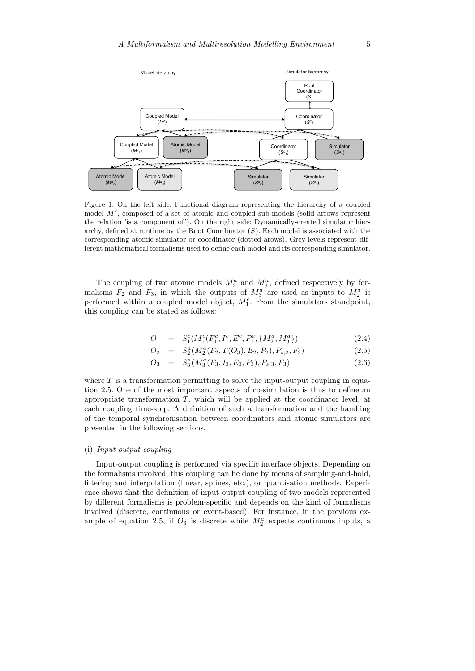

Figure 1. On the left side: Functional diagram representing the hierarchy of a coupled model  $M^c$ , composed of a set of atomic and coupled sub-models (solid arrows represent the relation 'is a component of'). On the right side: Dynamically-created simulator hierarchy, defined at runtime by the Root Coordinator  $(S)$ . Each model is associated with the corresponding atomic simulator or coordinator (dotted arows). Grey-levels represent different mathematical formalisms used to define each model and its corresponding simulator.

The coupling of two atomic models  $M_2^a$  and  $M_3^a$ , defined respectively by formalisms  $F_2$  and  $F_3$ , in which the outputs of  $M_3^a$  are used as inputs to  $M_2^a$  is performed within a coupled model object,  $M_1^c$ . From the simulators standpoint, this coupling can be stated as follows:

$$
O_1 = S_1^c(M_1^c(F_1^c, I_1^c, E_1^c, P_1^c, \{M_2^a, M_3^a\}) \tag{2.4}
$$

$$
O_2 = S_2^a(M_2^a(F_2, T(O_3), E_2, P_2), P_{s,2}, F_2)
$$
\n(2.5)

$$
O_3 = S_3^a(M_3^a(F_3, I_3, E_3, P_3), P_{s,3}, F_3) \tag{2.6}
$$

where  $T$  is a transformation permitting to solve the input-output coupling in equation 2.5. One of the most important aspects of co-simulation is thus to define an appropriate transformation  $T$ , which will be applied at the coordinator level, at each coupling time-step. A definition of such a transformation and the handling of the temporal synchronisation between coordinators and atomic simulators are presented in the following sections.

## (i) Input-output coupling

Input-output coupling is performed via specific interface objects. Depending on the formalisms involved, this coupling can be done by means of sampling-and-hold, filtering and interpolation (linear, splines, etc.), or quantisation methods. Experience shows that the definition of input-output coupling of two models represented by different formalisms is problem-specific and depends on the kind of formalisms involved (discrete, continuous or event-based). For instance, in the previous example of equation 2.5, if  $O_3$  is discrete while  $M_2^a$  expects continuous inputs, a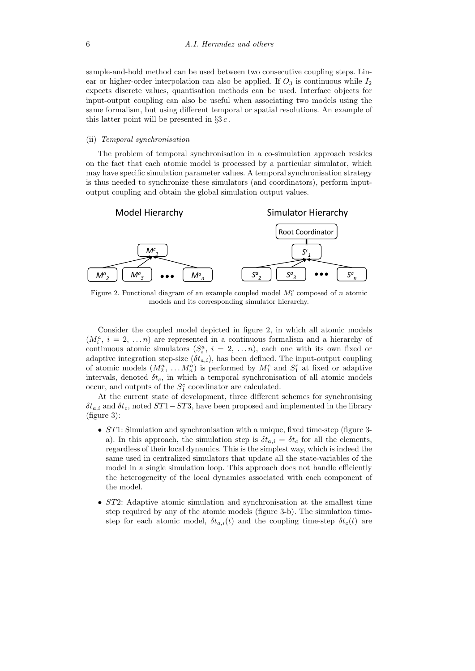sample-and-hold method can be used between two consecutive coupling steps. Linear or higher-order interpolation can also be applied. If  $O_3$  is continuous while  $I_2$ expects discrete values, quantisation methods can be used. Interface objects for input-output coupling can also be useful when associating two models using the same formalism, but using different temporal or spatial resolutions. An example of this latter point will be presented in  $\S 3c$ .

#### (ii) Temporal synchronisation

The problem of temporal synchronisation in a co-simulation approach resides on the fact that each atomic model is processed by a particular simulator, which may have specific simulation parameter values. A temporal synchronisation strategy is thus needed to synchronize these simulators (and coordinators), perform inputoutput coupling and obtain the global simulation output values.



Figure 2. Functional diagram of an example coupled model  $M_1^c$  composed of n atomic models and its corresponding simulator hierarchy.

Consider the coupled model depicted in figure 2, in which all atomic models  $(M_i^a, i = 2, ..., n)$  are represented in a continuous formalism and a hierarchy of continuous atomic simulators  $(S_i^a, i = 2, ..., n)$ , each one with its own fixed or adaptive integration step-size  $(\delta t_{a,i})$ , has been defined. The input-output coupling of atomic models  $(M_2^a, \ldots, M_n^a)$  is performed by  $M_1^c$  and  $S_1^c$  at fixed or adaptive intervals, denoted  $\delta t_c$ , in which a temporal synchronisation of all atomic models occur, and outputs of the  $S_1^c$  coordinator are calculated.

At the current state of development, three different schemes for synchronising  $\delta t_{a,i}$  and  $\delta t_c$ , noted  $ST1-ST3$ , have been proposed and implemented in the library (figure 3):

- ST1: Simulation and synchronisation with a unique, fixed time-step (figure 3 a). In this approach, the simulation step is  $\delta t_{a,i} = \delta t_c$  for all the elements, regardless of their local dynamics. This is the simplest way, which is indeed the same used in centralized simulators that update all the state-variables of the model in a single simulation loop. This approach does not handle efficiently the heterogeneity of the local dynamics associated with each component of the model.
- ST2: Adaptive atomic simulation and synchronisation at the smallest time step required by any of the atomic models (figure 3-b). The simulation timestep for each atomic model,  $\delta t_{a,i}(t)$  and the coupling time-step  $\delta t_c(t)$  are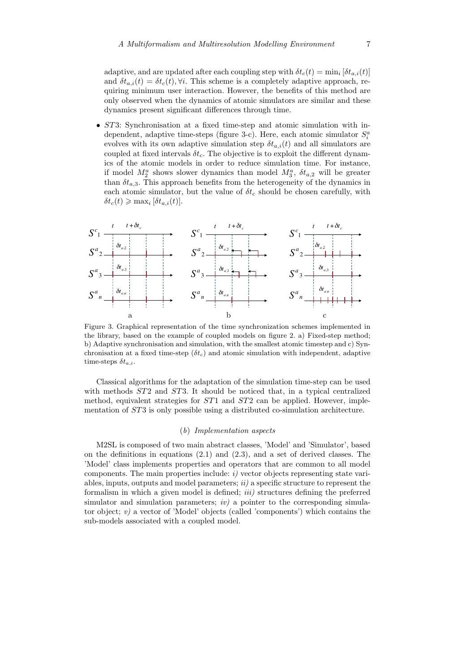adaptive, and are updated after each coupling step with  $\delta t_c(t) = \min_i [\delta t_{a,i}(t)]$ and  $\delta t_{a,i}(t) = \delta t_c(t), \forall i$ . This scheme is a completely adaptive approach, requiring minimum user interaction. However, the benefits of this method are only observed when the dynamics of atomic simulators are similar and these dynamics present significant differences through time.

• ST3: Synchronisation at a fixed time-step and atomic simulation with independent, adaptive time-steps (figure 3-c). Here, each atomic simulator  $S_i^a$ evolves with its own adaptive simulation step  $\delta t_{a,i}(t)$  and all simulators are coupled at fixed intervals  $\delta t_c$ . The objective is to exploit the different dynamics of the atomic models in order to reduce simulation time. For instance, if model  $M_2^a$  shows slower dynamics than model  $M_3^a$ ,  $\delta t_{a,2}$  will be greater than  $\delta t_{a,3}$ . This approach benefits from the heterogeneity of the dynamics in each atomic simulator, but the value of  $\delta t_c$  should be chosen carefully, with  $\delta t_c(t) \geqslant \max_i [\delta t_{a,i}(t)].$ 



Figure 3. Graphical representation of the time synchronization schemes implemented in the library, based on the example of coupled models on figure 2. a) Fixed-step method; b) Adaptive synchronisation and simulation, with the smallest atomic timestep and c) Synchronisation at a fixed time-step  $(\delta t_c)$  and atomic simulation with independent, adaptive time-steps  $\delta t_{a,i}$ .

Classical algorithms for the adaptation of the simulation time-step can be used with methods  $ST2$  and  $ST3$ . It should be noticed that, in a typical centralized method, equivalent strategies for  $ST1$  and  $ST2$  can be applied. However, implementation of ST3 is only possible using a distributed co-simulation architecture.

#### (b) Implementation aspects

M2SL is composed of two main abstract classes, 'Model' and 'Simulator', based on the definitions in equations (2.1) and (2.3), and a set of derived classes. The 'Model' class implements properties and operators that are common to all model components. The main properties include:  $i$ ) vector objects representing state variables, inputs, outputs and model parameters;  $ii)$  a specific structure to represent the formalism in which a given model is defined; *iii*) structures defining the preferred simulator and simulation parameters;  $iv)$  a pointer to the corresponding simulator object;  $v$ ) a vector of 'Model' objects (called 'components') which contains the sub-models associated with a coupled model.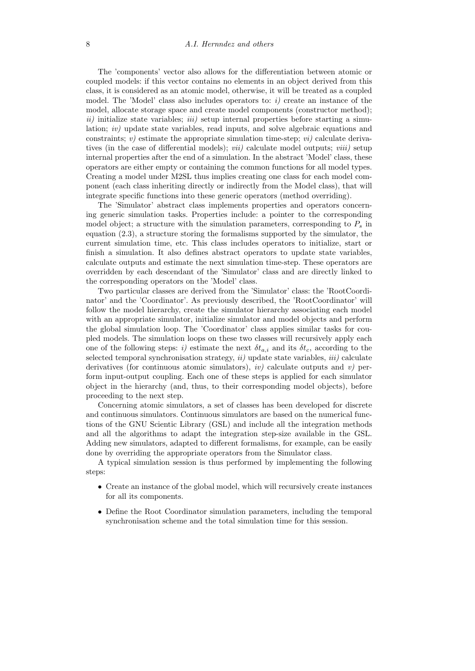The 'components' vector also allows for the differentiation between atomic or coupled models: if this vector contains no elements in an object derived from this class, it is considered as an atomic model, otherwise, it will be treated as a coupled model. The 'Model' class also includes operators to:  $i$ ) create an instance of the model, allocate storage space and create model components (constructor method);  $ii)$  initialize state variables;  $iii)$  setup internal properties before starting a simulation; iv) update state variables, read inputs, and solve algebraic equations and constraints; v) estimate the appropriate simulation time-step; vi) calculate derivatives (in the case of differential models); *vii*) calculate model outputs; *viii*) setup internal properties after the end of a simulation. In the abstract 'Model' class, these operators are either empty or containing the common functions for all model types. Creating a model under M2SL thus implies creating one class for each model component (each class inheriting directly or indirectly from the Model class), that will integrate specific functions into these generic operators (method overriding).

The 'Simulator' abstract class implements properties and operators concerning generic simulation tasks. Properties include: a pointer to the corresponding model object; a structure with the simulation parameters, corresponding to  $P_s$  in equation (2.3), a structure storing the formalisms supported by the simulator, the current simulation time, etc. This class includes operators to initialize, start or finish a simulation. It also defines abstract operators to update state variables, calculate outputs and estimate the next simulation time-step. These operators are overridden by each descendant of the 'Simulator' class and are directly linked to the corresponding operators on the 'Model' class.

Two particular classes are derived from the 'Simulator' class: the 'RootCoordinator' and the 'Coordinator'. As previously described, the 'RootCoordinator' will follow the model hierarchy, create the simulator hierarchy associating each model with an appropriate simulator, initialize simulator and model objects and perform the global simulation loop. The 'Coordinator' class applies similar tasks for coupled models. The simulation loops on these two classes will recursively apply each one of the following steps: i) estimate the next  $\delta t_{a,i}$  and its  $\delta t_c$ , according to the selected temporal synchronisation strategy,  $ii)$  update state variables,  $iii)$  calculate derivatives (for continuous atomic simulators), *iv*) calculate outputs and *v*) perform input-output coupling. Each one of these steps is applied for each simulator object in the hierarchy (and, thus, to their corresponding model objects), before proceeding to the next step.

Concerning atomic simulators, a set of classes has been developed for discrete and continuous simulators. Continuous simulators are based on the numerical functions of the GNU Scientic Library (GSL) and include all the integration methods and all the algorithms to adapt the integration step-size available in the GSL. Adding new simulators, adapted to different formalisms, for example, can be easily done by overriding the appropriate operators from the Simulator class.

A typical simulation session is thus performed by implementing the following steps:

- Create an instance of the global model, which will recursively create instances for all its components.
- Define the Root Coordinator simulation parameters, including the temporal synchronisation scheme and the total simulation time for this session.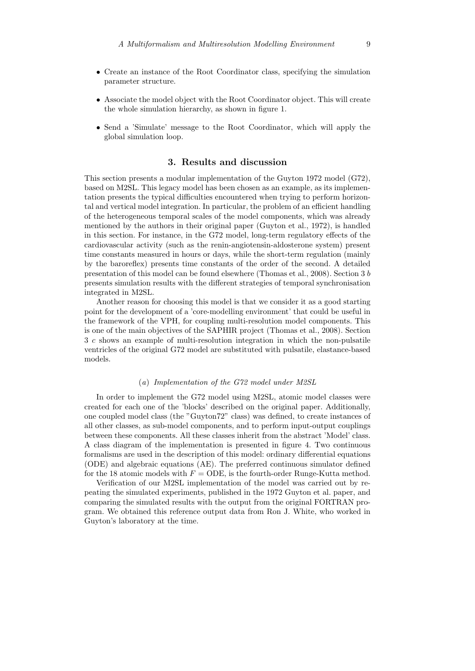- Create an instance of the Root Coordinator class, specifying the simulation parameter structure.
- Associate the model object with the Root Coordinator object. This will create the whole simulation hierarchy, as shown in figure 1.
- Send a 'Simulate' message to the Root Coordinator, which will apply the global simulation loop.

## 3. Results and discussion

This section presents a modular implementation of the Guyton 1972 model (G72), based on M2SL. This legacy model has been chosen as an example, as its implementation presents the typical difficulties encountered when trying to perform horizontal and vertical model integration. In particular, the problem of an efficient handling of the heterogeneous temporal scales of the model components, which was already mentioned by the authors in their original paper (Guyton et al., 1972), is handled in this section. For instance, in the G72 model, long-term regulatory effects of the cardiovascular activity (such as the renin-angiotensin-aldosterone system) present time constants measured in hours or days, while the short-term regulation (mainly by the baroreflex) presents time constants of the order of the second. A detailed presentation of this model can be found elsewhere (Thomas et al., 2008). Section 3 b presents simulation results with the different strategies of temporal synchronisation integrated in M2SL.

Another reason for choosing this model is that we consider it as a good starting point for the development of a 'core-modelling environment' that could be useful in the framework of the VPH, for coupling multi-resolution model components. This is one of the main objectives of the SAPHIR project (Thomas et al., 2008). Section 3 c shows an example of multi-resolution integration in which the non-pulsatile ventricles of the original G72 model are substituted with pulsatile, elastance-based models.

## (a) Implementation of the G72 model under M2SL

In order to implement the G72 model using M2SL, atomic model classes were created for each one of the 'blocks' described on the original paper. Additionally, one coupled model class (the "Guyton72" class) was defined, to create instances of all other classes, as sub-model components, and to perform input-output couplings between these components. All these classes inherit from the abstract 'Model' class. A class diagram of the implementation is presented in figure 4. Two continuous formalisms are used in the description of this model: ordinary differential equations (ODE) and algebraic equations (AE). The preferred continuous simulator defined for the 18 atomic models with  $F = ODE$ , is the fourth-order Runge-Kutta method.

Verification of our M2SL implementation of the model was carried out by repeating the simulated experiments, published in the 1972 Guyton et al. paper, and comparing the simulated results with the output from the original FORTRAN program. We obtained this reference output data from Ron J. White, who worked in Guyton's laboratory at the time.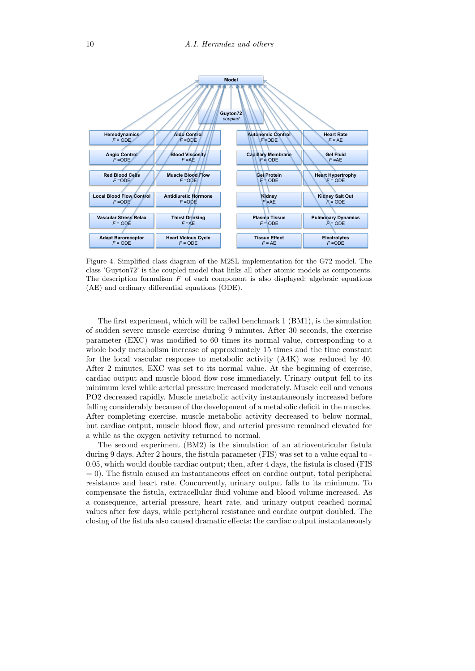

Figure 4. Simplified class diagram of the M2SL implementation for the G72 model. The class 'Guyton72' is the coupled model that links all other atomic models as components. The description formalism  $F$  of each component is also displayed: algebraic equations (AE) and ordinary differential equations (ODE).

The first experiment, which will be called benchmark 1 (BM1), is the simulation of sudden severe muscle exercise during 9 minutes. After 30 seconds, the exercise parameter (EXC) was modified to 60 times its normal value, corresponding to a whole body metabolism increase of approximately 15 times and the time constant for the local vascular response to metabolic activity (A4K) was reduced by 40. After 2 minutes, EXC was set to its normal value. At the beginning of exercise, cardiac output and muscle blood flow rose immediately. Urinary output fell to its minimum level while arterial pressure increased moderately. Muscle cell and venous PO2 decreased rapidly. Muscle metabolic activity instantaneously increased before falling considerably because of the development of a metabolic deficit in the muscles. After completing exercise, muscle metabolic activity decreased to below normal, but cardiac output, muscle blood flow, and arterial pressure remained elevated for a while as the oxygen activity returned to normal.

The second experiment (BM2) is the simulation of an atrioventricular fistula during 9 days. After 2 hours, the fistula parameter (FIS) was set to a value equal to - 0.05, which would double cardiac output; then, after 4 days, the fistula is closed (FIS  $= 0$ ). The fistula caused an instantaneous effect on cardiac output, total peripheral resistance and heart rate. Concurrently, urinary output falls to its minimum. To compensate the fistula, extracellular fluid volume and blood volume increased. As a consequence, arterial pressure, heart rate, and urinary output reached normal values after few days, while peripheral resistance and cardiac output doubled. The closing of the fistula also caused dramatic effects: the cardiac output instantaneously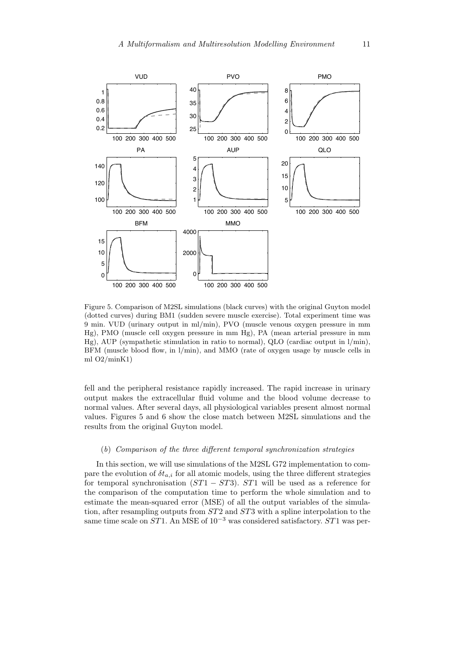

Figure 5. Comparison of M2SL simulations (black curves) with the original Guyton model (dotted curves) during BM1 (sudden severe muscle exercise). Total experiment time was 9 min. VUD (urinary output in ml/min), PVO (muscle venous oxygen pressure in mm Hg), PMO (muscle cell oxygen pressure in mm Hg), PA (mean arterial pressure in mm Hg), AUP (sympathetic stimulation in ratio to normal), QLO (cardiac output in l/min), BFM (muscle blood flow, in l/min), and MMO (rate of oxygen usage by muscle cells in ml O2/minK1)

fell and the peripheral resistance rapidly increased. The rapid increase in urinary output makes the extracellular fluid volume and the blood volume decrease to normal values. After several days, all physiological variables present almost normal values. Figures 5 and 6 show the close match between M2SL simulations and the results from the original Guyton model.

## (b) Comparison of the three different temporal synchronization strategies

In this section, we will use simulations of the M2SL G72 implementation to compare the evolution of  $\delta t_{a,i}$  for all atomic models, using the three different strategies for temporal synchronisation  $(ST1 - ST3)$ . ST1 will be used as a reference for the comparison of the computation time to perform the whole simulation and to estimate the mean-squared error (MSE) of all the output variables of the simulation, after resampling outputs from ST2 and ST3 with a spline interpolation to the same time scale on  $ST1$ . An MSE of  $10^{-3}$  was considered satisfactory. ST1 was per-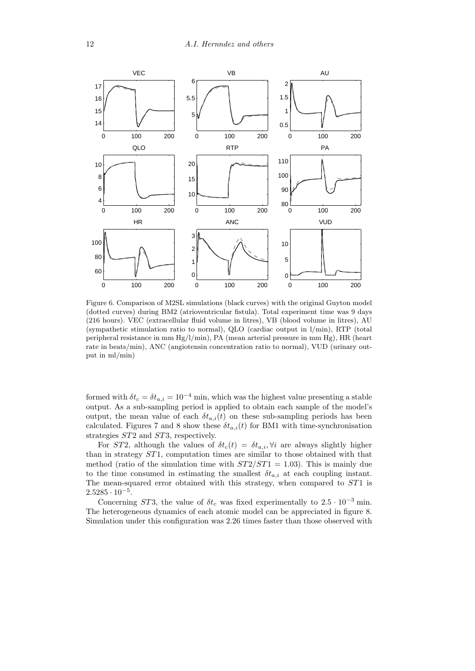

Figure 6. Comparison of M2SL simulations (black curves) with the original Guyton model (dotted curves) during BM2 (atrioventricular fistula). Total experiment time was 9 days (216 hours). VEC (extracellular fluid volume in litres), VB (blood volume in litres), AU (sympathetic stimulation ratio to normal), QLO (cardiac output in l/min), RTP (total peripheral resistance in mm Hg/l/min), PA (mean arterial pressure in mm Hg), HR (heart rate in beats/min), ANC (angiotensin concentration ratio to normal), VUD (urinary output in ml/min)

formed with  $\delta t_c = \delta t_{a,i} = 10^{-4}$  min, which was the highest value presenting a stable output. As a sub-sampling period is applied to obtain each sample of the model's output, the mean value of each  $\delta t_{a,i}(t)$  on these sub-sampling periods has been calculated. Figures 7 and 8 show these  $\delta t_{a,i}(t)$  for BM1 with time-synchronisation strategies ST2 and ST3, respectively.

For ST2, although the values of  $\delta t_c(t) = \delta t_{a,i}$ ,  $\forall i$  are always slightly higher than in strategy ST1, computation times are similar to those obtained with that method (ratio of the simulation time with  $ST2/ST1 = 1.03$ ). This is mainly due to the time consumed in estimating the smallest  $\delta t_{a,i}$  at each coupling instant. The mean-squared error obtained with this strategy, when compared to ST1 is  $2.5285 \cdot 10^{-5}$ .

Concerning ST3, the value of  $\delta t_c$  was fixed experimentally to 2.5 · 10<sup>-3</sup> min. The heterogeneous dynamics of each atomic model can be appreciated in figure 8. Simulation under this configuration was 2.26 times faster than those observed with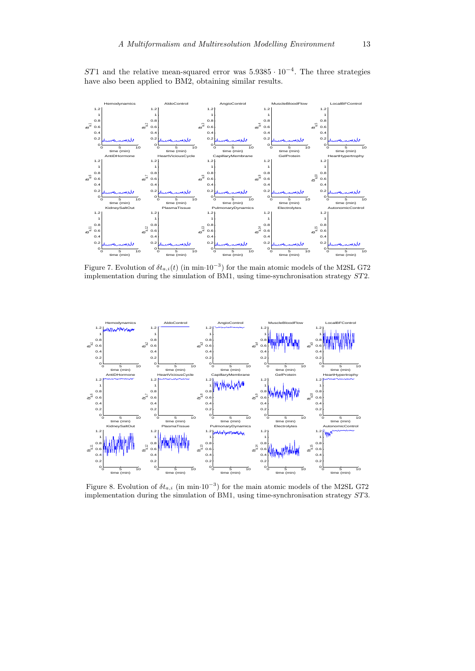ST1 and the relative mean-squared error was  $5.9385 \cdot 10^{-4}$ . The three strategies have also been applied to BM2, obtaining similar results.



Figure 7. Evolution of  $\delta t_{a,i}(t)$  (in min·10<sup>-3</sup>) for the main atomic models of the M2SL G72 implementation during the simulation of BM1, using time-synchronisation strategy ST2.



Figure 8. Evolution of  $\delta t_{a,i}$  (in min·10<sup>-3</sup>) for the main atomic models of the M2SL G72 implementation during the simulation of BM1, using time-synchronisation strategy ST3.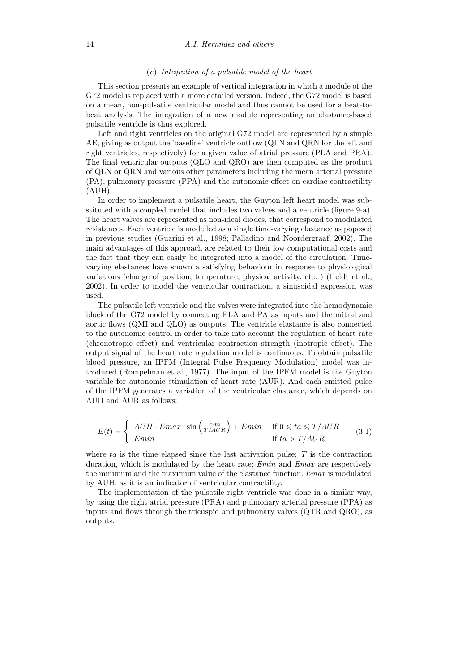### (c) Integration of a pulsatile model of the heart

This section presents an example of vertical integration in which a module of the G72 model is replaced with a more detailed version. Indeed, the G72 model is based on a mean, non-pulsatile ventricular model and thus cannot be used for a beat-tobeat analysis. The integration of a new module representing an elastance-based pulsatile ventricle is thus explored.

Left and right ventricles on the original G72 model are represented by a simple AE, giving as output the 'baseline' ventricle outflow (QLN and QRN for the left and right ventricles, respectively) for a given value of atrial pressure (PLA and PRA). The final ventricular outputs (QLO and QRO) are then computed as the product of QLN or QRN and various other parameters including the mean arterial pressure (PA), pulmonary pressure (PPA) and the autonomic effect on cardiac contractility (AUH).

In order to implement a pulsatile heart, the Guyton left heart model was substituted with a coupled model that includes two valves and a ventricle (figure 9-a). The heart valves are represented as non-ideal diodes, that correspond to modulated resistances. Each ventricle is modelled as a single time-varying elastance as poposed in previous studies (Guarini et al., 1998; Palladino and Noordergraaf, 2002). The main advantages of this approach are related to their low computational costs and the fact that they can easily be integrated into a model of the circulation. Timevarying elastances have shown a satisfying behaviour in response to physiological variations (change of position, temperature, physical activity, etc. ) (Heldt et al., 2002). In order to model the ventricular contraction, a sinusoidal expression was used.

The pulsatile left ventricle and the valves were integrated into the hemodynamic block of the G72 model by connecting PLA and PA as inputs and the mitral and aortic flows (QMI and QLO) as outputs. The ventricle elastance is also connected to the autonomic control in order to take into account the regulation of heart rate (chronotropic effect) and ventricular contraction strength (inotropic effect). The output signal of the heart rate regulation model is continuous. To obtain pulsatile blood pressure, an IPFM (Integral Pulse Frequency Modulation) model was introduced (Rompelman et al., 1977). The input of the IPFM model is the Guyton variable for autonomic stimulation of heart rate (AUR). And each emitted pulse of the IPFM generates a variation of the ventricular elastance, which depends on AUH and AUR as follows:

$$
E(t) = \begin{cases} A U H \cdot E max \cdot \sin\left(\frac{\pi \cdot ta}{T/AUR}\right) + E min & \text{if } 0 \leqslant ta \leqslant T/AUR\\ E min & \text{if } ta > T/AUR \end{cases}
$$
(3.1)

where  $ta$  is the time elapsed since the last activation pulse;  $T$  is the contraction duration, which is modulated by the heart rate; *Emin* and *Emax* are respectively the minimum and the maximum value of the elastance function. Emax is modulated by AUH, as it is an indicator of ventricular contractility.

The implementation of the pulsatile right ventricle was done in a similar way, by using the right atrial pressure (PRA) and pulmonary arterial pressure (PPA) as inputs and flows through the tricuspid and pulmonary valves (QTR and QRO), as outputs.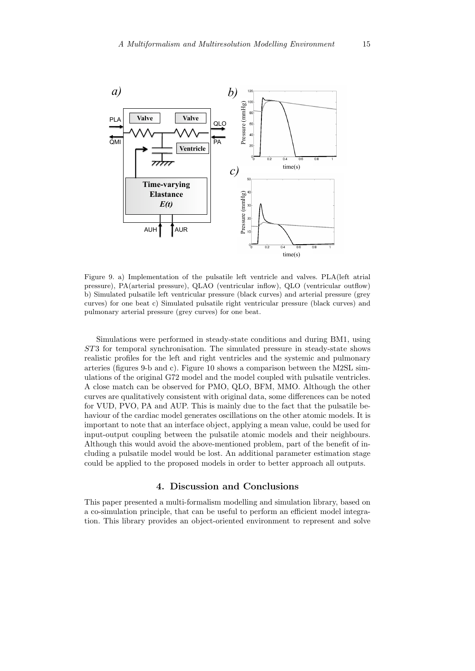

Figure 9. a) Implementation of the pulsatile left ventricle and valves. PLA(left atrial pressure), PA(arterial pressure), QLAO (ventricular inflow), QLO (ventricular outflow) b) Simulated pulsatile left ventricular pressure (black curves) and arterial pressure (grey curves) for one beat c) Simulated pulsatile right ventricular pressure (black curves) and pulmonary arterial pressure (grey curves) for one beat.

Simulations were performed in steady-state conditions and during BM1, using ST3 for temporal synchronisation. The simulated pressure in steady-state shows realistic profiles for the left and right ventricles and the systemic and pulmonary arteries (figures 9-b and c). Figure 10 shows a comparison between the M2SL simulations of the original G72 model and the model coupled with pulsatile ventricles. A close match can be observed for PMO, QLO, BFM, MMO. Although the other curves are qualitatively consistent with original data, some differences can be noted for VUD, PVO, PA and AUP. This is mainly due to the fact that the pulsatile behaviour of the cardiac model generates oscillations on the other atomic models. It is important to note that an interface object, applying a mean value, could be used for input-output coupling between the pulsatile atomic models and their neighbours. Although this would avoid the above-mentioned problem, part of the benefit of including a pulsatile model would be lost. An additional parameter estimation stage could be applied to the proposed models in order to better approach all outputs.

## 4. Discussion and Conclusions

This paper presented a multi-formalism modelling and simulation library, based on a co-simulation principle, that can be useful to perform an efficient model integration. This library provides an object-oriented environment to represent and solve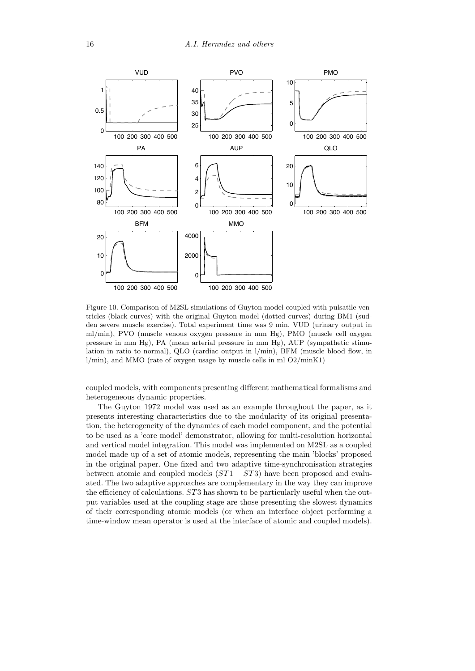

Figure 10. Comparison of M2SL simulations of Guyton model coupled with pulsatile ventricles (black curves) with the original Guyton model (dotted curves) during BM1 (sudden severe muscle exercise). Total experiment time was 9 min. VUD (urinary output in ml/min), PVO (muscle venous oxygen pressure in mm Hg), PMO (muscle cell oxygen pressure in mm Hg), PA (mean arterial pressure in mm Hg), AUP (sympathetic stimulation in ratio to normal), QLO (cardiac output in  $l/min$ ), BFM (muscle blood flow, in  $l/min$ , and MMO (rate of oxygen usage by muscle cells in ml  $O2/minK1$ )

coupled models, with components presenting different mathematical formalisms and heterogeneous dynamic properties.

The Guyton 1972 model was used as an example throughout the paper, as it presents interesting characteristics due to the modularity of its original presentation, the heterogeneity of the dynamics of each model component, and the potential to be used as a 'core model' demonstrator, allowing for multi-resolution horizontal and vertical model integration. This model was implemented on M2SL as a coupled model made up of a set of atomic models, representing the main 'blocks' proposed in the original paper. One fixed and two adaptive time-synchronisation strategies between atomic and coupled models  $(ST1 - ST3)$  have been proposed and evaluated. The two adaptive approaches are complementary in the way they can improve the efficiency of calculations. ST3 has shown to be particularly useful when the output variables used at the coupling stage are those presenting the slowest dynamics of their corresponding atomic models (or when an interface object performing a time-window mean operator is used at the interface of atomic and coupled models).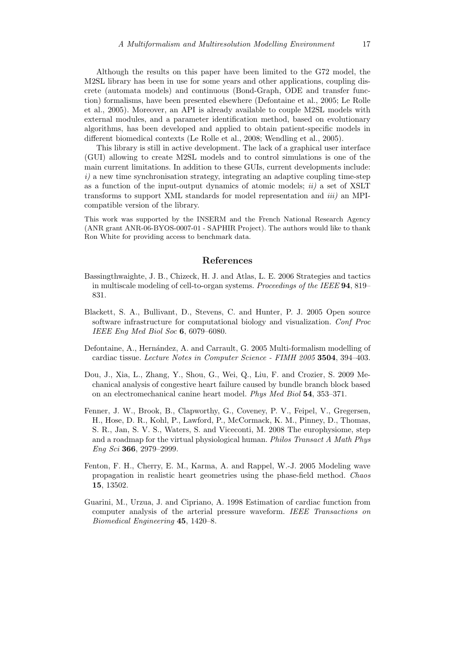Although the results on this paper have been limited to the G72 model, the M2SL library has been in use for some years and other applications, coupling discrete (automata models) and continuous (Bond-Graph, ODE and transfer function) formalisms, have been presented elsewhere (Defontaine et al., 2005; Le Rolle et al., 2005). Moreover, an API is already available to couple M2SL models with external modules, and a parameter identification method, based on evolutionary algorithms, has been developed and applied to obtain patient-specific models in different biomedical contexts (Le Rolle et al., 2008; Wendling et al., 2005).

This library is still in active development. The lack of a graphical user interface (GUI) allowing to create M2SL models and to control simulations is one of the main current limitations. In addition to these GUIs, current developments include:  $i)$  a new time synchronisation strategy, integrating an adaptive coupling time-step as a function of the input-output dynamics of atomic models;  $ii)$  a set of XSLT transforms to support XML standards for model representation and iii) an MPIcompatible version of the library.

This work was supported by the INSERM and the French National Research Agency (ANR grant ANR-06-BYOS-0007-01 - SAPHIR Project). The authors would like to thank Ron White for providing access to benchmark data.

## References

- Bassingthwaighte, J. B., Chizeck, H. J. and Atlas, L. E. 2006 Strategies and tactics in multiscale modeling of cell-to-organ systems. Proceedings of the IEEE 94, 819– 831.
- Blackett, S. A., Bullivant, D., Stevens, C. and Hunter, P. J. 2005 Open source software infrastructure for computational biology and visualization. Conf Proc IEEE Eng Med Biol Soc 6, 6079–6080.
- Defontaine, A., Hernández, A. and Carrault, G. 2005 Multi-formalism modelling of cardiac tissue. Lecture Notes in Computer Science - FIMH 2005 3504, 394–403.
- Dou, J., Xia, L., Zhang, Y., Shou, G., Wei, Q., Liu, F. and Crozier, S. 2009 Mechanical analysis of congestive heart failure caused by bundle branch block based on an electromechanical canine heart model. Phys Med Biol 54, 353–371.
- Fenner, J. W., Brook, B., Clapworthy, G., Coveney, P. V., Feipel, V., Gregersen, H., Hose, D. R., Kohl, P., Lawford, P., McCormack, K. M., Pinney, D., Thomas, S. R., Jan, S. V. S., Waters, S. and Viceconti, M. 2008 The europhysiome, step and a roadmap for the virtual physiological human. Philos Transact A Math Phys Eng Sci 366, 2979–2999.
- Fenton, F. H., Cherry, E. M., Karma, A. and Rappel, W.-J. 2005 Modeling wave propagation in realistic heart geometries using the phase-field method. Chaos 15, 13502.
- Guarini, M., Urzua, J. and Cipriano, A. 1998 Estimation of cardiac function from computer analysis of the arterial pressure waveform. IEEE Transactions on Biomedical Engineering 45, 1420–8.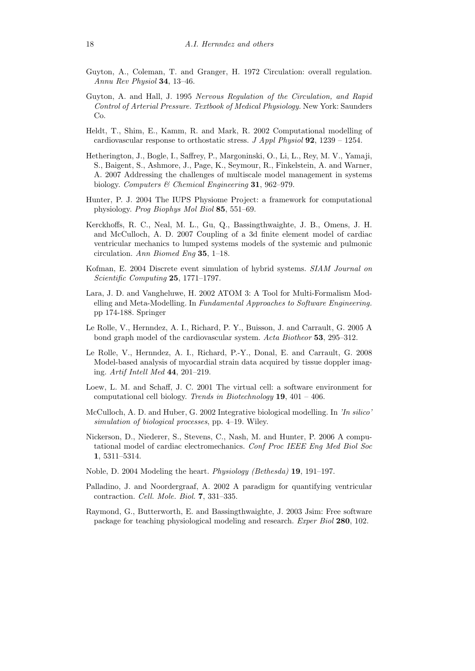- Guyton, A., Coleman, T. and Granger, H. 1972 Circulation: overall regulation. Annu Rev Physiol 34, 13–46.
- Guyton, A. and Hall, J. 1995 Nervous Regulation of the Circulation, and Rapid Control of Arterial Pressure. Textbook of Medical Physiology. New York: Saunders Co.
- Heldt, T., Shim, E., Kamm, R. and Mark, R. 2002 Computational modelling of cardiovascular response to orthostatic stress. J Appl Physiol  $92$ , 1239 – 1254.
- Hetherington, J., Bogle, I., Saffrey, P., Margoninski, O., Li, L., Rey, M. V., Yamaji, S., Baigent, S., Ashmore, J., Page, K., Seymour, R., Finkelstein, A. and Warner, A. 2007 Addressing the challenges of multiscale model management in systems biology. Computers & Chemical Engineering 31, 962–979.
- Hunter, P. J. 2004 The IUPS Physiome Project: a framework for computational physiology. Prog Biophys Mol Biol 85, 551–69.
- Kerckhoffs, R. C., Neal, M. L., Gu, Q., Bassingthwaighte, J. B., Omens, J. H. and McCulloch, A. D. 2007 Coupling of a 3d finite element model of cardiac ventricular mechanics to lumped systems models of the systemic and pulmonic circulation. Ann Biomed Eng 35, 1–18.
- Kofman, E. 2004 Discrete event simulation of hybrid systems. SIAM Journal on Scientific Computing 25, 1771–1797.
- Lara, J. D. and Vangheluwe, H. 2002 ATOM 3: A Tool for Multi-Formalism Modelling and Meta-Modelling. In Fundamental Approaches to Software Engineering. pp 174-188. Springer
- Le Rolle, V., Hernndez, A. I., Richard, P. Y., Buisson, J. and Carrault, G. 2005 A bond graph model of the cardiovascular system. Acta Biotheor 53, 295–312.
- Le Rolle, V., Hernndez, A. I., Richard, P.-Y., Donal, E. and Carrault, G. 2008 Model-based analysis of myocardial strain data acquired by tissue doppler imaging. Artif Intell Med 44, 201–219.
- Loew, L. M. and Schaff, J. C. 2001 The virtual cell: a software environment for computational cell biology. Trends in Biotechnology 19, 401 – 406.
- McCulloch, A. D. and Huber, G. 2002 Integrative biological modelling. In 'In silico' simulation of biological processes, pp. 4–19. Wiley.
- Nickerson, D., Niederer, S., Stevens, C., Nash, M. and Hunter, P. 2006 A computational model of cardiac electromechanics. Conf Proc IEEE Eng Med Biol Soc 1, 5311–5314.
- Noble, D. 2004 Modeling the heart. Physiology (Bethesda) 19, 191–197.
- Palladino, J. and Noordergraaf, A. 2002 A paradigm for quantifying ventricular contraction. Cell. Mole. Biol. 7, 331–335.
- Raymond, G., Butterworth, E. and Bassingthwaighte, J. 2003 Jsim: Free software package for teaching physiological modeling and research. Exper Biol 280, 102.